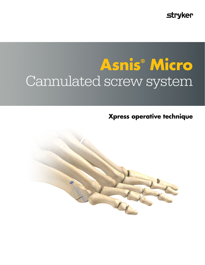**stryker** 

# **Asnis® Micro**  Cannulated screw system

**Xpress operative technique**

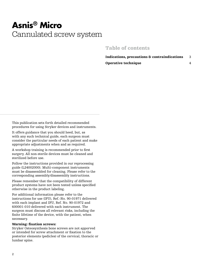# **Asnis® Micro** Cannulated screw system

### Table of contents

Indications, precautions & contraindications 3 Operative technique 4

This publication sets forth detailed recommended procedures for using Stryker devices and instruments.

It offers guidance that you should heed, but, as with any such technical guide, each surgeon must consider the particular needs of each patient and make appropriate adjustments when and as required.

A workshop training is recommended prior to first surgery. All non-sterile devices must be cleaned and sterilized before use.

Follow the instructions provided in our reprocessing guide (L24002000). Multi-component instruments must be disassembled for cleaning. Please refer to the corresponding assembly/disassembly instructions.

Please remember that the compatibility of different product systems have not been tested unless specified otherwise in the product labeling.

For additional information please refer to the instructions for use (IFU), Ref.-No. 90-01971 delivered with each implant and IFU, Ref. No. 90-01972 and 600001-010 delivered with each instrument. The surgeon must discuss all relevant risks, including the finite lifetime of the device, with the patient, when necessary.

#### Warning: fixation screws:

Stryker Osteosynthesis bone screws are not apporved or intended for screw attachment or fixation to the posterior elements (pedicles) of the cervical, thoracic or lumbar spine.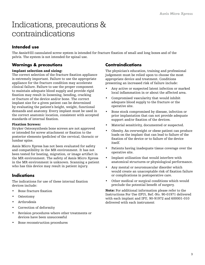## Indications, precautions & contraindications

### **Intended use**

The Asnis®III cannulated screw system is intended for fracture fixation of small and long bones and of the pelvis. The system is not intended for spinal use.

### **Warnings & precautions**

#### Implant selection and sizing:

The correct selection of the fracture fixation appliance is extremely important. Failure to use the appropriate appliance for the fracture condition may accelerate clinical failure. Failure to use the proper component to maintain adequate blood supply and provide rigid fixation may result in loosening, bending, cracking or fracture of the device and/or bone. The correct implant size for a given patient can be determined by evaluating the patient's height, weight, functional demands and anatomy. Every implant must be used in the correct anatomic location, consistent with accepted standards of internal fixation.

#### Fixation Screws:

Stryker Osteosynthesis bone screws are not approved or intended for screw attachment or fixation to the posterior elements (pedicles) of the cervical, thoracic or lumbar spine.

Asnis Micro Xpress has not been evaluated for safety and compatibility in the MR environment. It has not been tested for heating, migration, or image artifact in the MR environment. The safety of Asnis Micro Xpress in the MR environment is unknown. Scanning a patient who has this device may result in patient injury.

### **Indications**

The indications for use of these internal fixation devices include:

- Bone fracture fixation
- Osteotomy
- **Arthrodesis**
- Correction of deformity
- Revision procedures where other treatments or devices have been unsuccessful
- Bone reconstruction procedures

### **Contraindications**

The physician's education, training and professional judgement must be relied upon to choose the most appropriate device and treatment. Conditions presenting an increased risk of failure include:

- Any active or suspected latent infection or marked local inflammation in or about the affected area.
- Compromised vascularity that would inhibit adequate blood supply to the fracture or the operative site.
- Bone stock compromised by disease, infection or prior implantation that can not provide adequate support and/or fixation of the devices.
- Material sensitivity, documented or suspected.
- Obesity. An overweight or obese patient can produce loads on the implant that can lead to failure of the fixation of the device or to failure of the device itself.
- Patients having inadequate tissue coverage over the operative site.
- Implant utilization that would interfere with anatomical structures or physiological performance.
- Any mental or neuromuscular disorder which would create an unacceptable risk of fixation failure or complications in postoperative care.
- Other medical or surgical conditions which would preclude the potential benefit of surgery.

Note: For additional information please refer to the Instructions For Use (IFU), Ref.-No. 90-01971 delivered with each implant and IFU, 90-91972 and 600001-010 delivered with each instrument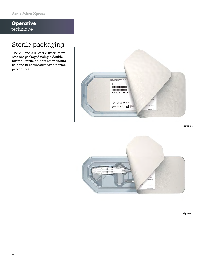### **Operative**  technique

### Sterile packaging

The 2.0 and 3.0 Sterile Instrument Kits are packaged using a double blister. Sterile field transfer should be done in accordance with normal procedures.







Figure 2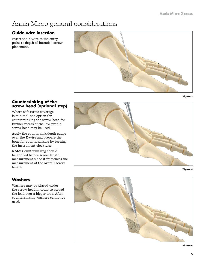### Asnis Micro general considerations

### **Guide wire insertion**

Insert the K-wire at the entry point to depth of intended screw placement.



### **Countersinking of the screw head (optional step)**

Where soft tissue coverage is minimal, the option for countersinking the screw head for further recess of the low profile screw head may be used.

Apply the countersink/depth gauge over the K-wire and prepare the bone for countersinking by turning the instrument clockwise.

Note: Countersinking should be applied before screw length measurement since it influences the measurement of the overall screw length.

### **Washers**

Washers may be placed under the screw head in order to spread the load over a bigger area. After countersinking washers cannot be used.







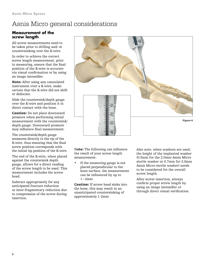### Asnis Micro general considerations

### **Measurement of the screw length**

All screw measurements need to be taken prior to drilling and/ or countersinking over the K-wire.

In order to achieve the correct screw length measurement, prior to measuring, ensure that the final position of the K-wire is accurate via visual confirmation or by using an image intensifier.

Note: After using any cannulated instrument over a K-wire, make certain that the K-wire did not shift or dislocate.

Slide the countersink/depth gauge over the K-wire and position it in direct contact with the bone.

Caution: Do not place downward pressure when performing initial measurement with the countersink/ depth gauge. Downward pressure may influence final measurement.

The countersink/depth gauge measures directly to the tip of the K-wire, thus ensuring that the final screw position corresponds with the initial tip position of the K-wire.

The end of the K-wire, when placed against the countersink depth gauge, allows for a direct reading of the screw length to be used. This measurement includes the screw head.

Subtract appropriately for any anticipated fracture reduction or inter-fragmentary reduction due to compression of the screw during insertion.



Note: The following can influence the result of your screw length measurement:

If the measuring gauge is not placed perpendicular to the bone surface, the measurement can be influenced by up to 1−2mm

Caution: If screw head sinks into the bone, this may result in an unanticipated countersinking of approximately 1-2mm

Also note, when washers are used, the height of the implanted washer (0.5mm for the 2.0mm Asnis Micro sterile washer or 0.7mm for 3.0mm Asnis Micro sterile washer) needs to be considered for the overall screw length.

After screw insertion, always confirm proper screw length by using an image intensifier or through direct visual verification.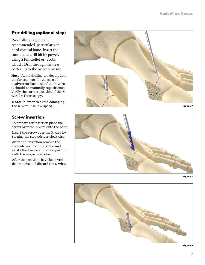### **Pre-drilling (optional step)**

Pre-drilling is generally recommended, particularly in hard cortical bone. Insert the cannulated drill bit by power, using a Pin Collet or Jacobs Chuck. Drill through the near cortex up to the osteotomy site.

Note: Avoid drilling too deeply into the far segment. In the case of inadvertent back out of the K-wire, it should be manually repositioned. Verify the correct position of the Kwire by fluoroscopy.

Note: In order to avoid damaging the K-wire, use low speed

### **Screw insertion**

To prepare for insertion place the screw over the K-wire onto the bone.

Insert the screw over the K-wire by turning the screwdriver clockwise.

After final insertion remove the screwdriver from the screw and verify the K-wire and screw position with the image intensifier.

After the positions have been veri fied remove and discard the K-wire.



Figure 7







Figure 9